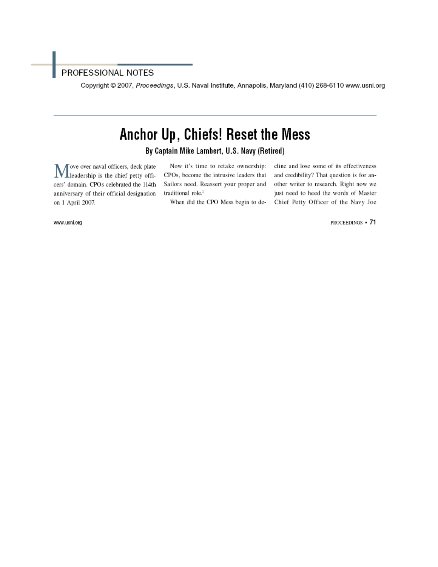## PROFESSIONAL NOTES

Copyright © 2007, Proceedings, U.S. Naval Institute, Annapolis, Maryland (410) 268-6110 www.usni.org

# Anchor Up, Chiefs! Reset the Mess

By Captain Mike Lambert, U.S. Navy (Retired)

ove over naval officers, deck plate Mleadership is the chief petty officers' domain. CPOs celebrated the 114th anniversary of their official designation on 1 April 2007.

Now it's time to retake ownership: CPOs, become the intrusive leaders that Sailors need. Reassert your proper and traditional role.<sup>1</sup>

When did the CPO Mess begin to de-

cline and lose some of its effectiveness and credibility? That question is for another writer to research. Right now we just need to heed the words of Master Chief Petty Officer of the Navy Joe

www.usni.org

PROCEEDINGS • 71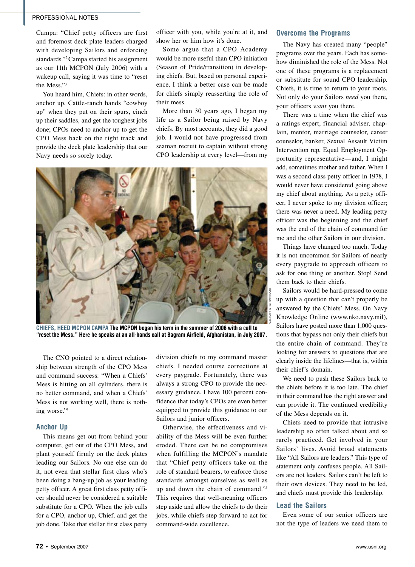### PROFESSIONAL NOTES

Campa: "Chief petty officers are first and foremost deck plate leaders charged with developing Sailors and enforcing standards."2 Campa started his assignment as our 11th MCPON (July 2006) with a wakeup call, saying it was time to "reset the Mess."3

You heard him, Chiefs: in other words, anchor up. Cattle-ranch hands "cowboy up" when they put on their spurs, cinch up their saddles, and get the toughest jobs done; CPOs need to anchor up to get the CPO Mess back on the right track and provide the deck plate leadership that our Navy needs so sorely today.

officer with you, while you're at it, and show her or him how it's done.

Some argue that a CPO Academy would be more useful than CPO initiation (Season of Pride/transition) in developing chiefs. But, based on personal experience, I think a better case can be made for chiefs simply reasserting the role of their mess.

More than 30 years ago, I began my life as a Sailor being raised by Navy chiefs. By most accounts, they did a good job. I would not have progressed from seaman recruit to captain without strong CPO leadership at every level—from my



**Chiefs, heed MCPON CAMPA The MCPON began his term in the summer of 2006 with a call to "reset the Mess." Here he speaks at an all-hands call at Bagram Airfield, Afghanistan, in July 2007.** 

The CNO pointed to a direct relationship between strength of the CPO Mess and command success: "When a Chiefs' Mess is hitting on all cylinders, there is no better command, and when a Chiefs' Mess is not working well, there is nothing worse."4

#### **Anchor Up**

This means get out from behind your computer, get out of the CPO Mess, and plant yourself firmly on the deck plates leading our Sailors. No one else can do it, not even that stellar first class who's been doing a bang-up job as your leading petty officer. A great first class petty officer should never be considered a suitable substitute for a CPO. When the job calls for a CPO, anchor up, Chief, and get the job done. Take that stellar first class petty division chiefs to my command master chiefs. I needed course corrections at every paygrade. Fortunately, there was always a strong CPO to provide the necessary guidance. I have 100 percent confidence that today's CPOs are even better equipped to provide this guidance to our Sailors and junior officers.

Otherwise, the effectiveness and viability of the Mess will be even further eroded. There can be no compromises when fulfilling the MCPON's mandate that "Chief petty officers take on the role of standard bearers, to enforce those standards amongst ourselves as well as up and down the chain of command."5 This requires that well-meaning officers step aside and allow the chiefs to do their jobs, while chiefs step forward to act for command-wide excellence.

#### **Overcome the Programs**

The Navy has created many "people" programs over the years. Each has somehow diminished the role of the Mess. Not one of these programs is a replacement or substitute for sound CPO leadership. Chiefs, it is time to return to your roots. Not only do your Sailors *need* you there, your officers *want* you there.

There was a time when the chief was a ratings expert, financial adviser, chaplain, mentor, marriage counselor, career counselor, banker, Sexual Assault Victim Intervention rep, Equal Employment Opportunity representative—and, I might add, sometimes mother and father. When I was a second class petty officer in 1978, I would never have considered going above my chief about anything. As a petty officer, I never spoke to my division officer; there was never a need. My leading petty officer was the beginning and the chief was the end of the chain of command for me and the other Sailors in our division.

Things have changed too much. Today it is not uncommon for Sailors of nearly every paygrade to approach officers to ask for one thing or another. Stop! Send them back to their chiefs.

Sailors would be hard-pressed to come up with a question that can't properly be answered by the Chiefs' Mess. On Navy Knowledge Online (www.nko.navy.mil), Sailors have posted more than 1,000 questions that bypass not only their chiefs but the entire chain of command. They're looking for answers to questions that are clearly inside the lifelines—that is, within their chief's domain.

We need to push these Sailors back to the chiefs before it is too late. The chief in their command has the right answer and can provide it. The continued credibility of the Mess depends on it.

Chiefs need to provide that intrusive leadership so often talked about and so rarely practiced. Get involved in your Sailors' lives. Avoid broad statements like "All Sailors are leaders." This type of statement only confuses people. All Sailors are not leaders. Sailors can't be left to their own devices. They need to be led, and chiefs must provide this leadership.

#### **Lead the Sailors**

Even some of our senior officers are not the type of leaders we need them to